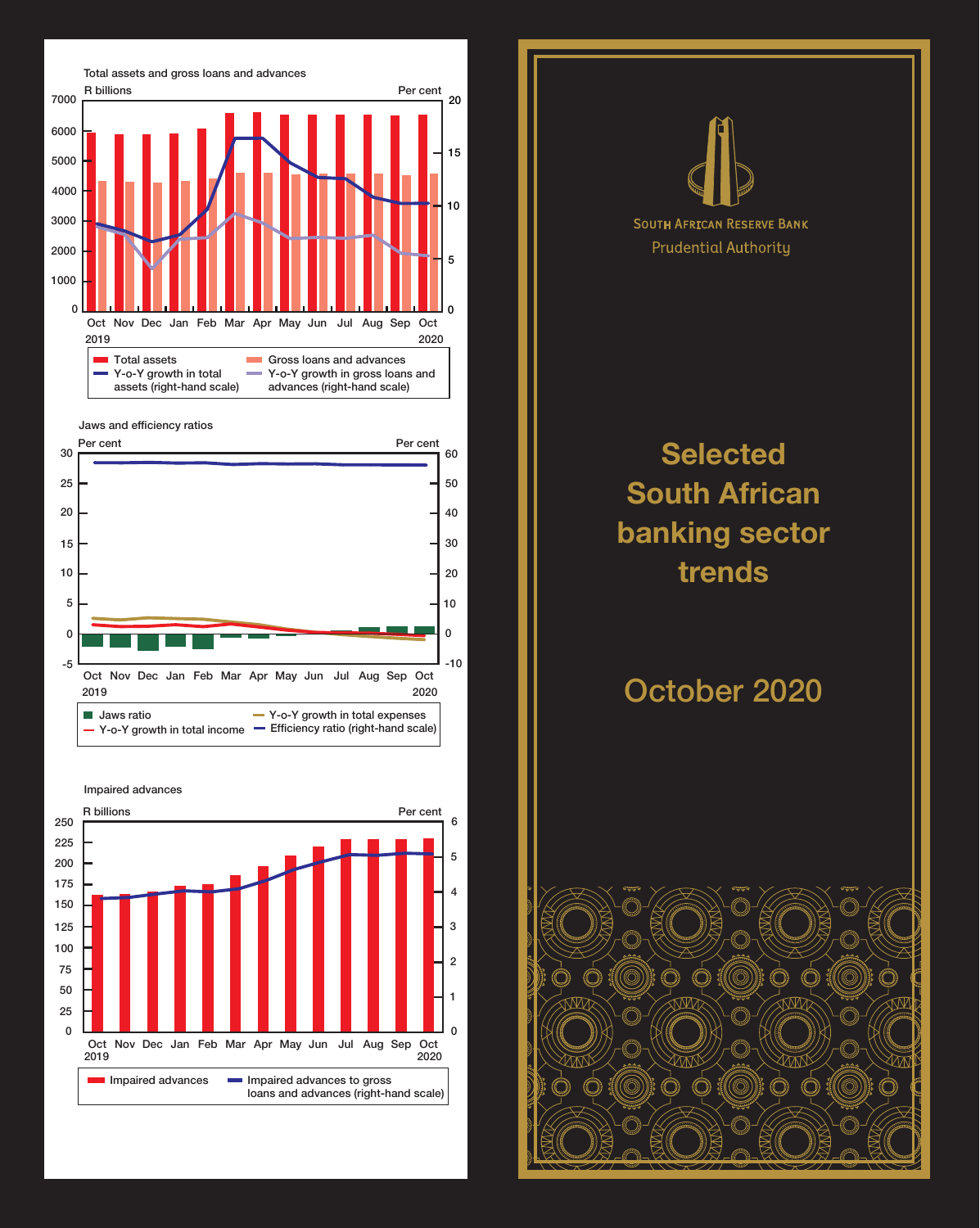